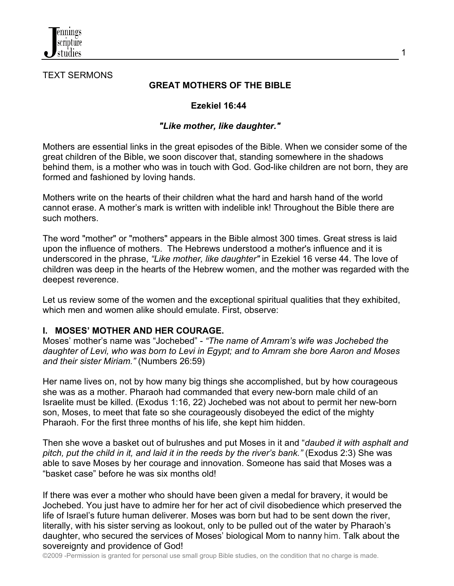

#### TEXT SERMONS

#### **GREAT MOTHERS OF THE BIBLE**

#### **Ezekiel 16:44**

#### *"Like mother, like daughter."*

Mothers are essential links in the great episodes of the Bible. When we consider some of the great children of the Bible, we soon discover that, standing somewhere in the shadows behind them, is a mother who was in touch with God. God-like children are not born, they are formed and fashioned by loving hands.

Mothers write on the hearts of their children what the hard and harsh hand of the world cannot erase. A mother's mark is written with indelible ink! Throughout the Bible there are such mothers.

The word "mother" or "mothers" appears in the Bible almost 300 times. Great stress is laid upon the influence of mothers. The Hebrews understood a mother's influence and it is underscored in the phrase, *"Like mother, like daughter"* in Ezekiel 16 verse 44. The love of children was deep in the hearts of the Hebrew women, and the mother was regarded with the deepest reverence.

Let us review some of the women and the exceptional spiritual qualities that they exhibited, which men and women alike should emulate. First, observe:

#### **I. MOSES' MOTHER AND HER COURAGE.**

Moses' mother's name was "Jochebed" - *"The name of Amram's wife was Jochebed the daughter of Levi, who was born to Levi in Egypt; and to Amram she bore Aaron and Moses and their sister Miriam."* (Numbers 26:59)

Her name lives on, not by how many big things she accomplished, but by how courageous she was as a mother. Pharaoh had commanded that every new-born male child of an Israelite must be killed. (Exodus 1:16, 22) Jochebed was not about to permit her new-born son, Moses, to meet that fate so she courageously disobeyed the edict of the mighty Pharaoh. For the first three months of his life, she kept him hidden.

Then she wove a basket out of bulrushes and put Moses in it and "*daubed it with asphalt and pitch, put the child in it, and laid it in the reeds by the river's bank."* (Exodus 2:3) She was able to save Moses by her courage and innovation. Someone has said that Moses was a "basket case" before he was six months old!

If there was ever a mother who should have been given a medal for bravery, it would be Jochebed. You just have to admire her for her act of civil disobedience which preserved the life of Israel's future human deliverer. Moses was born but had to be sent down the river, literally, with his sister serving as lookout, only to be pulled out of the water by Pharaoh's daughter, who secured the services of Moses' biological Mom to nanny him. Talk about the sovereignty and providence of God!

©2009 -Permission is granted for personal use small group Bible studies, on the condition that no charge is made.

1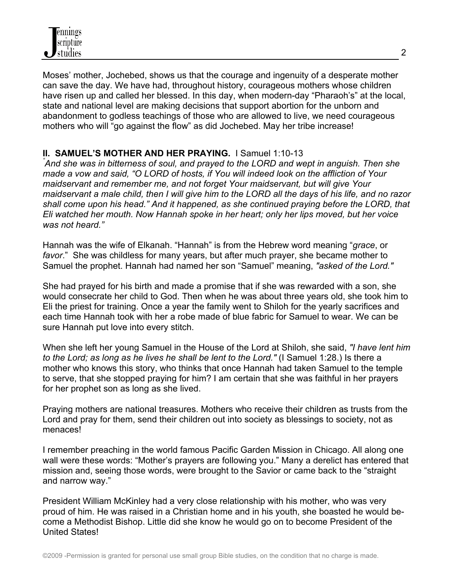Moses' mother, Jochebed, shows us that the courage and ingenuity of a desperate mother can save the day. We have had, throughout history, courageous mothers whose children have risen up and called her blessed. In this day, when modern-day "Pharaoh's" at the local, state and national level are making decisions that support abortion for the unborn and abandonment to godless teachings of those who are allowed to live, we need courageous mothers who will "go against the flow" as did Jochebed. May her tribe increase!

## **II. SAMUEL'S MOTHER AND HER PRAYING.** I Samuel 1:10-13 *"*

*And she was in bitterness of soul, and prayed to the LORD and wept in anguish. Then she made a vow and said, "O LORD of hosts, if You will indeed look on the affliction of Your maidservant and remember me, and not forget Your maidservant, but will give Your maidservant a male child, then I will give him to the LORD all the days of his life, and no razor shall come upon his head." And it happened, as she continued praying before the LORD, that Eli watched her mouth. Now Hannah spoke in her heart; only her lips moved, but her voice was not heard."*

Hannah was the wife of Elkanah. "Hannah" is from the Hebrew word meaning "*grace*, or *favor*." She was childless for many years, but after much prayer, she became mother to Samuel the prophet. Hannah had named her son "Samuel" meaning, *"asked of the Lord."*

She had prayed for his birth and made a promise that if she was rewarded with a son, she would consecrate her child to God. Then when he was about three years old, she took him to Eli the priest for training. Once a year the family went to Shiloh for the yearly sacrifices and each time Hannah took with her a robe made of blue fabric for Samuel to wear. We can be sure Hannah put love into every stitch.

When she left her young Samuel in the House of the Lord at Shiloh, she said, *"I have lent him to the Lord; as long as he lives he shall be lent to the Lord."* (I Samuel 1:28.) Is there a mother who knows this story, who thinks that once Hannah had taken Samuel to the temple to serve, that she stopped praying for him? I am certain that she was faithful in her prayers for her prophet son as long as she lived.

Praying mothers are national treasures. Mothers who receive their children as trusts from the Lord and pray for them, send their children out into society as blessings to society, not as menaces!

I remember preaching in the world famous Pacific Garden Mission in Chicago. All along one wall were these words: "Mother's prayers are following you." Many a derelict has entered that mission and, seeing those words, were brought to the Savior or came back to the "straight and narrow way."

President William McKinley had a very close relationship with his mother, who was very proud of him. He was raised in a Christian home and in his youth, she boasted he would become a Methodist Bishop. Little did she know he would go on to become President of the United States!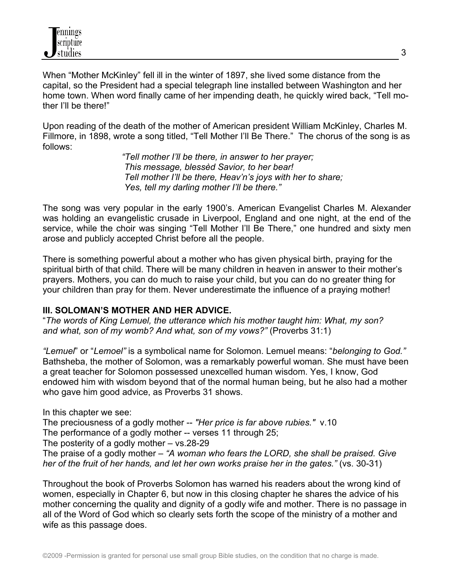When "Mother McKinley" fell ill in the winter of 1897, she lived some distance from the capital, so the President had a special telegraph line installed between Washington and her home town. When word finally came of her impending death, he quickly wired back, "Tell mother I'll be there!"

Upon reading of the death of the mother of American president William McKinley, Charles M. Fillmore, in 1898, wrote a song titled, "Tell Mother I'll Be There." The chorus of the song is as follows:

> *"Tell mother I'll be there, in answer to her prayer; This message, blessèd Savior, to her bear! Tell mother I'll be there, Heav'n's joys with her to share; Yes, tell my darling mother I'll be there."*

The song was very popular in the early 1900's. American Evangelist Charles M. Alexander was holding an evangelistic crusade in Liverpool, England and one night, at the end of the service, while the choir was singing "Tell Mother I'll Be There," one hundred and sixty men arose and publicly accepted Christ before all the people.

There is something powerful about a mother who has given physical birth, praying for the spiritual birth of that child. There will be many children in heaven in answer to their mother's prayers. Mothers, you can do much to raise your child, but you can do no greater thing for your children than pray for them. Never underestimate the influence of a praying mother!

#### **III. SOLOMAN'S MOTHER AND HER ADVICE.**

"*The words of King Lemuel, the utterance which his mother taught him: What, my son? and what, son of my womb? And what, son of my vows?"* (Proverbs 31:1)

*"Lemuel*" or "*Lemoel"* is a symbolical name for Solomon. Lemuel means: "*belonging to God."* Bathsheba, the mother of Solomon, was a remarkably powerful woman. She must have been a great teacher for Solomon possessed unexcelled human wisdom. Yes, I know, God endowed him with wisdom beyond that of the normal human being, but he also had a mother who gave him good advice, as Proverbs 31 shows.

In this chapter we see: The preciousness of a godly mother -- *"Her price is far above rubies."* v.10 The performance of a godly mother -- verses 11 through 25; The posterity of a godly mother – vs.28-29

The praise of a godly mother – *"A woman who fears the LORD, she shall be praised. Give her of the fruit of her hands, and let her own works praise her in the gates."* (vs. 30-31)

Throughout the book of Proverbs Solomon has warned his readers about the wrong kind of women, especially in Chapter 6, but now in this closing chapter he shares the advice of his mother concerning the quality and dignity of a godly wife and mother. There is no passage in all of the Word of God which so clearly sets forth the scope of the ministry of a mother and wife as this passage does.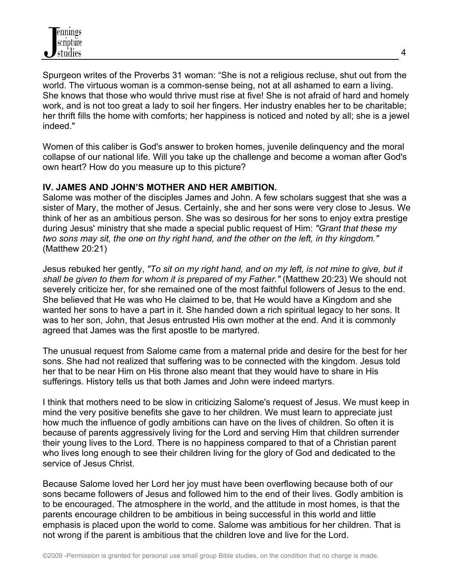Spurgeon writes of the Proverbs 31 woman: "She is not a religious recluse, shut out from the world. The virtuous woman is a common-sense being, not at all ashamed to earn a living. She knows that those who would thrive must rise at five! She is not afraid of hard and homely work, and is not too great a lady to soil her fingers. Her industry enables her to be charitable; her thrift fills the home with comforts; her happiness is noticed and noted by all; she is a jewel indeed."

Women of this caliber is God's answer to broken homes, juvenile delinquency and the moral collapse of our national life. Will you take up the challenge and become a woman after God's own heart? How do you measure up to this picture?

### **IV. JAMES AND JOHN'S MOTHER AND HER AMBITION.**

Salome was mother of the disciples James and John. A few scholars suggest that she was a sister of Mary, the mother of Jesus. Certainly, she and her sons were very close to Jesus. We think of her as an ambitious person. She was so desirous for her sons to enjoy extra prestige during Jesus' ministry that she made a special public request of Him: *"Grant that these my two sons may sit, the one on thy right hand, and the other on the left, in thy kingdom."* (Matthew 20:21)

Jesus rebuked her gently, *"To sit on my right hand, and on my left, is not mine to give, but it shall be given to them for whom it is prepared of my Father."* (Matthew 20:23) We should not severely criticize her, for she remained one of the most faithful followers of Jesus to the end. She believed that He was who He claimed to be, that He would have a Kingdom and she wanted her sons to have a part in it. She handed down a rich spiritual legacy to her sons. It was to her son, John, that Jesus entrusted His own mother at the end. And it is commonly agreed that James was the first apostle to be martyred.

The unusual request from Salome came from a maternal pride and desire for the best for her sons. She had not realized that suffering was to be connected with the kingdom. Jesus told her that to be near Him on His throne also meant that they would have to share in His sufferings. History tells us that both James and John were indeed martyrs.

I think that mothers need to be slow in criticizing Salome's request of Jesus. We must keep in mind the very positive benefits she gave to her children. We must learn to appreciate just how much the influence of godly ambitions can have on the lives of children. So often it is because of parents aggressively living for the Lord and serving Him that children surrender their young lives to the Lord. There is no happiness compared to that of a Christian parent who lives long enough to see their children living for the glory of God and dedicated to the service of Jesus Christ.

Because Salome loved her Lord her joy must have been overflowing because both of our sons became followers of Jesus and followed him to the end of their lives. Godly ambition is to be encouraged. The atmosphere in the world, and the attitude in most homes, is that the parents encourage children to be ambitious in being successful in this world and little emphasis is placed upon the world to come. Salome was ambitious for her children. That is not wrong if the parent is ambitious that the children love and live for the Lord.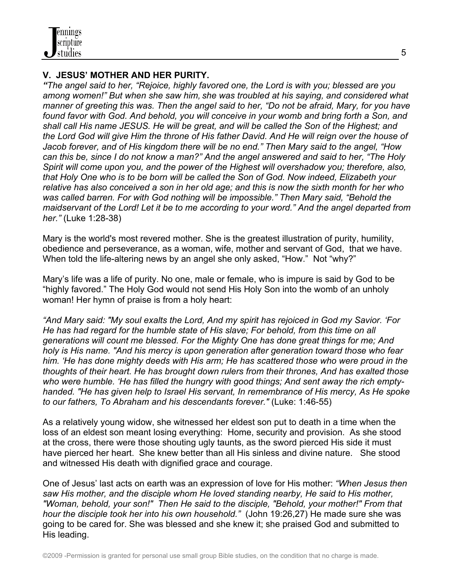## **V. JESUS' MOTHER AND HER PURITY.**

*"The angel said to her, "Rejoice, highly favored one, the Lord is with you; blessed are you among women!" But when she saw him, she was troubled at his saying, and considered what manner of greeting this was. Then the angel said to her, "Do not be afraid, Mary, for you have found favor with God. And behold, you will conceive in your womb and bring forth a Son, and shall call His name JESUS. He will be great, and will be called the Son of the Highest; and the Lord God will give Him the throne of His father David. And He will reign over the house of Jacob forever, and of His kingdom there will be no end." Then Mary said to the angel, "How can this be, since I do not know a man?" And the angel answered and said to her, "The Holy Spirit will come upon you, and the power of the Highest will overshadow you; therefore, also, that Holy One who is to be born will be called the Son of God. Now indeed, Elizabeth your relative has also conceived a son in her old age; and this is now the sixth month for her who was called barren. For with God nothing will be impossible." Then Mary said, "Behold the maidservant of the Lord! Let it be to me according to your word." And the angel departed from her."* (Luke 1:28-38)

Mary is the world's most revered mother. She is the greatest illustration of purity, humility, obedience and perseverance, as a woman, wife, mother and servant of God, that we have. When told the life-altering news by an angel she only asked, "How." Not "why?"

Mary's life was a life of purity. No one, male or female, who is impure is said by God to be "highly favored." The Holy God would not send His Holy Son into the womb of an unholy woman! Her hymn of praise is from a holy heart:

*"And Mary said: "My soul exalts the Lord, And my spirit has rejoiced in God my Savior. 'For He has had regard for the humble state of His slave; For behold, from this time on all generations will count me blessed. For the Mighty One has done great things for me; And holy is His name. "And his mercy is upon generation after generation toward those who fear him. 'He has done mighty deeds with His arm; He has scattered those who were proud in the thoughts of their heart. He has brought down rulers from their thrones, And has exalted those who were humble. 'He has filled the hungry with good things; And sent away the rich emptyhanded. "He has given help to Israel His servant, In remembrance of His mercy, As He spoke to our fathers, To Abraham and his descendants forever."* (Luke: 1:46-55)

As a relatively young widow, she witnessed her eldest son put to death in a time when the loss of an eldest son meant losing everything: Home, security and provision. As she stood at the cross, there were those shouting ugly taunts, as the sword pierced His side it must have pierced her heart. She knew better than all His sinless and divine nature. She stood and witnessed His death with dignified grace and courage.

One of Jesus' last acts on earth was an expression of love for His mother: *"When Jesus then saw His mother, and the disciple whom He loved standing nearby, He said to His mother, "Woman, behold, your son!" Then He said to the disciple, "Behold, your mother!" From that hour the disciple took her into his own household."* (John 19:26,27) He made sure she was going to be cared for. She was blessed and she knew it; she praised God and submitted to His leading.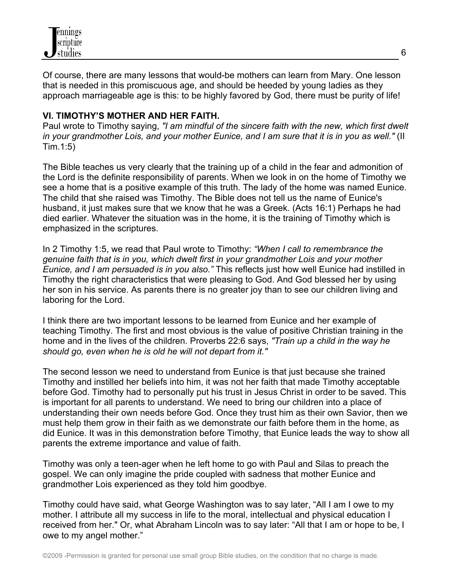

Of course, there are many lessons that would-be mothers can learn from Mary. One lesson that is needed in this promiscuous age, and should be heeded by young ladies as they approach marriageable age is this: to be highly favored by God, there must be purity of life!

## **VI. TIMOTHY'S MOTHER AND HER FAITH.**

Paul wrote to Timothy saying, *"I am mindful of the sincere faith with the new, which first dwelt in your grandmother Lois, and your mother Eunice, and I am sure that it is in you as well."* (II Tim.1:5)

The Bible teaches us very clearly that the training up of a child in the fear and admonition of the Lord is the definite responsibility of parents. When we look in on the home of Timothy we see a home that is a positive example of this truth. The lady of the home was named Eunice. The child that she raised was Timothy. The Bible does not tell us the name of Eunice's husband, it just makes sure that we know that he was a Greek. (Acts 16:1) Perhaps he had died earlier. Whatever the situation was in the home, it is the training of Timothy which is emphasized in the scriptures.

In 2 Timothy 1:5, we read that Paul wrote to Timothy: *"When I call to remembrance the genuine faith that is in you, which dwelt first in your grandmother Lois and your mother Eunice, and I am persuaded is in you also."* This reflects just how well Eunice had instilled in Timothy the right characteristics that were pleasing to God. And God blessed her by using her son in his service. As parents there is no greater joy than to see our children living and laboring for the Lord.

I think there are two important lessons to be learned from Eunice and her example of teaching Timothy. The first and most obvious is the value of positive Christian training in the home and in the lives of the children. Proverbs 22:6 says, *"Train up a child in the way he should go, even when he is old he will not depart from it."*

The second lesson we need to understand from Eunice is that just because she trained Timothy and instilled her beliefs into him, it was not her faith that made Timothy acceptable before God. Timothy had to personally put his trust in Jesus Christ in order to be saved. This is important for all parents to understand. We need to bring our children into a place of understanding their own needs before God. Once they trust him as their own Savior, then we must help them grow in their faith as we demonstrate our faith before them in the home, as did Eunice. It was in this demonstration before Timothy, that Eunice leads the way to show all parents the extreme importance and value of faith.

Timothy was only a teen-ager when he left home to go with Paul and Silas to preach the gospel. We can only imagine the pride coupled with sadness that mother Eunice and grandmother Lois experienced as they told him goodbye.

Timothy could have said, what George Washington was to say later, "All I am I owe to my mother. I attribute all my success in life to the moral, intellectual and physical education I received from her." Or, what Abraham Lincoln was to say later: "All that I am or hope to be, I owe to my angel mother."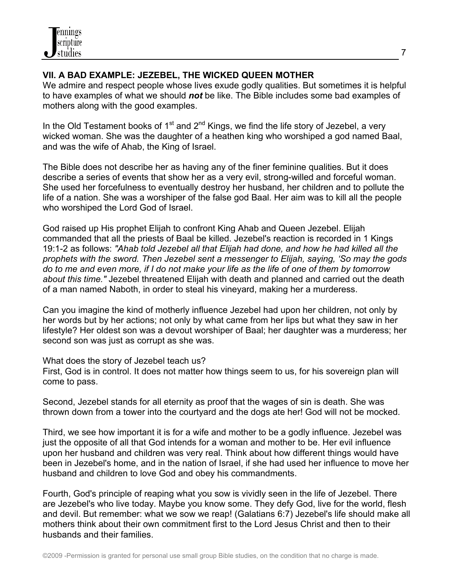# **VII. A BAD EXAMPLE: JEZEBEL, THE WICKED QUEEN MOTHER**

We admire and respect people whose lives exude godly qualities. But sometimes it is helpful to have examples of what we should *not* be like. The Bible includes some bad examples of mothers along with the good examples.

In the Old Testament books of  $1<sup>st</sup>$  and  $2<sup>nd</sup>$  Kings, we find the life story of Jezebel, a very wicked woman. She was the daughter of a heathen king who worshiped a god named Baal, and was the wife of Ahab, the King of Israel.

The Bible does not describe her as having any of the finer feminine qualities. But it does describe a series of events that show her as a very evil, strong-willed and forceful woman. She used her forcefulness to eventually destroy her husband, her children and to pollute the life of a nation. She was a worshiper of the false god Baal. Her aim was to kill all the people who worshiped the Lord God of Israel.

God raised up His prophet Elijah to confront King Ahab and Queen Jezebel. Elijah commanded that all the priests of Baal be killed. Jezebel's reaction is recorded in 1 Kings 19:1-2 as follows: *"Ahab told Jezebel all that Elijah had done, and how he had killed all the prophets with the sword. Then Jezebel sent a messenger to Elijah, saying, 'So may the gods do to me and even more, if I do not make your life as the life of one of them by tomorrow about this time."* Jezebel threatened Elijah with death and planned and carried out the death of a man named Naboth, in order to steal his vineyard, making her a murderess.

Can you imagine the kind of motherly influence Jezebel had upon her children, not only by her words but by her actions; not only by what came from her lips but what they saw in her lifestyle? Her oldest son was a devout worshiper of Baal; her daughter was a murderess; her second son was just as corrupt as she was.

What does the story of Jezebel teach us?

First, God is in control. It does not matter how things seem to us, for his sovereign plan will come to pass.

Second, Jezebel stands for all eternity as proof that the wages of sin is death. She was thrown down from a tower into the courtyard and the dogs ate her! God will not be mocked.

Third, we see how important it is for a wife and mother to be a godly influence. Jezebel was just the opposite of all that God intends for a woman and mother to be. Her evil influence upon her husband and children was very real. Think about how different things would have been in Jezebel's home, and in the nation of Israel, if she had used her influence to move her husband and children to love God and obey his commandments.

Fourth, God's principle of reaping what you sow is vividly seen in the life of Jezebel. There are Jezebel's who live today. Maybe you know some. They defy God, live for the world, flesh and devil. But remember: what we sow we reap! (Galatians 6:7) Jezebel's life should make all mothers think about their own commitment first to the Lord Jesus Christ and then to their husbands and their families.